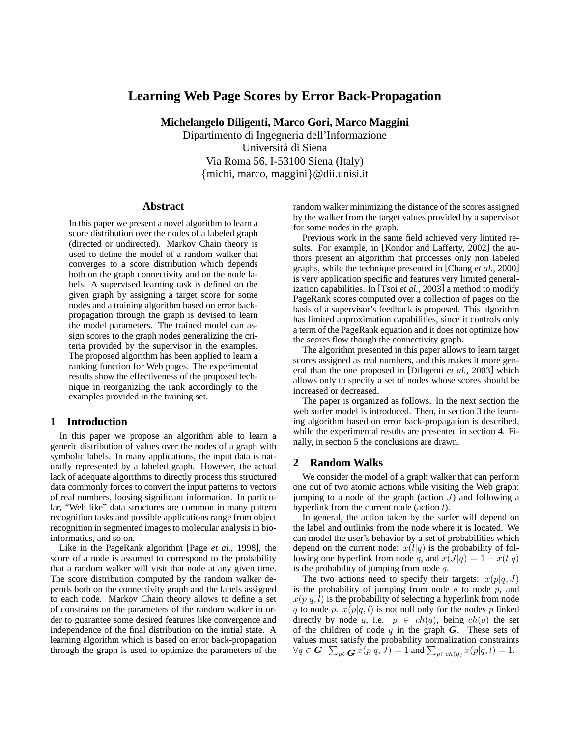# **Learning Web Page Scores by Error Back-Propagation**

**Michelangelo Diligenti, Marco Gori, Marco Maggini**

Dipartimento di Ingegneria dell'Informazione Universita di Siena ` Via Roma 56, I-53100 Siena (Italy) {michi, marco, maggini}@dii.unisi.it

#### **Abstract**

In this paper we present a novel algorithm to learn a score distribution over the nodes of a labeled graph (directed or undirected). Markov Chain theory is used to define the model of a random walker that converges to a score distribution which depends both on the graph connectivity and on the node labels. A supervised learning task is defined on the given graph by assigning a target score for some nodes and a training algorithm based on error backpropagation through the graph is devised to learn the model parameters. The trained model can assign scores to the graph nodes generalizing the criteria provided by the supervisor in the examples. The proposed algorithm has been applied to learn a ranking function for Web pages. The experimental results show the effectiveness of the proposed technique in reorganizing the rank accordingly to the examples provided in the training set.

### **1 Introduction**

In this paper we propose an algorithm able to learn a generic distribution of values over the nodes of a graph with symbolic labels. In many applications, the input data is naturally represented by a labeled graph. However, the actual lack of adequate algorithms to directly process this structured data commonly forces to convert the input patterns to vectors of real numbers, loosing significant information. In particular, "Web like" data structures are common in many pattern recognition tasks and possible applications range from object recognition in segmented images to molecular analysis in bioinformatics, and so on.

Like in the PageRank algorithm [Page *et al.*, 1998], the score of a node is assumed to correspond to the probability that a random walker will visit that node at any given time. The score distribution computed by the random walker depends both on the connectivity graph and the labels assigned to each node. Markov Chain theory allows to define a set of constrains on the parameters of the random walker in order to guarantee some desired features like convergence and independence of the final distribution on the initial state. A learning algorithm which is based on error back-propagation through the graph is used to optimize the parameters of the random walker minimizing the distance of the scores assigned by the walker from the target values provided by a supervisor for some nodes in the graph.

Previous work in the same field achieved very limited results. For example, in [Kondor and Lafferty, 2002] the authors present an algorithm that processes only non labeled graphs, while the technique presented in [Chang *et al.*, 2000] is very application specific and features very limited generalization capabilities. In [Tsoi *et al.*, 2003] a method to modify PageRank scores computed over a collection of pages on the basis of a supervisor's feedback is proposed. This algorithm has limited approximation capabilities, since it controls only a term of the PageRank equation and it does not optimize how the scores flow though the connectivity graph.

The algorithm presented in this paper allows to learn target scores assigned as real numbers, and this makes it more general than the one proposed in [Diligenti *et al.*, 2003] which allows only to specify a set of nodes whose scores should be increased or decreased.

The paper is organized as follows. In the next section the web surfer model is introduced. Then, in section 3 the learning algorithm based on error back-propagation is described, while the experimental results are presented in section 4. Finally, in section 5 the conclusions are drawn.

### **2 Random Walks**

We consider the model of a graph walker that can perform one out of two atomic actions while visiting the Web graph: jumping to a node of the graph (action  $J$ ) and following a hyperlink from the current node (action *l*).

In general, the action taken by the surfer will depend on the label and outlinks from the node where it is located. We can model the user's behavior by a set of probabilities which depend on the current node:  $x(l|q)$  is the probability of following one hyperlink from node q, and  $x(J|q) = 1 - x(l|q)$ is the probability of jumping from node  $q$ .

The two actions need to specify their targets:  $x(p|q, J)$ is the probability of jumping from node  $q$  to node  $p$ , and  $x(p|q, l)$  is the probability of selecting a hyperlink from node q to node p.  $x(p|q, l)$  is not null only for the nodes p linked directly by node q, i.e.  $p \in ch(q)$ , being  $ch(q)$  the set of the children of node  $q$  in the graph  $G$ . These sets of values must satisfy the probability normalization constraints  $\forall q \in \bm{G}\;\; \sum_{p \in \bm{G}} x(p|q,J) = 1$  and  $\sum_{p \in ch(q)} x(p|q,l) = 1.$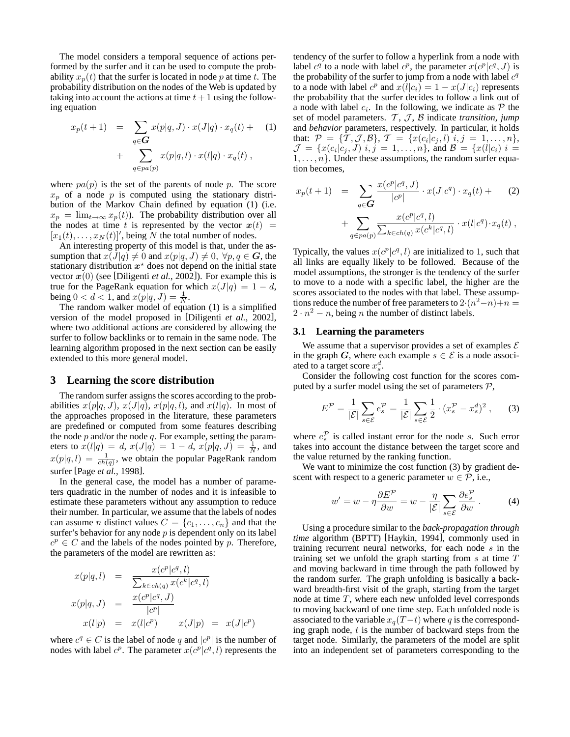The model considers a temporal sequence of actions performed by the surfer and it can be used to compute the probability  $x_p(t)$  that the surfer is located in node p at time t. The probability distribution on the nodes of the Web is updated by taking into account the actions at time  $t + 1$  using the following equation

$$
x_p(t+1) = \sum_{q \in \mathbf{G}} x(p|q, J) \cdot x(J|q) \cdot x_q(t) +
$$
  
+ 
$$
\sum_{q \in pa(p)} x(p|q, l) \cdot x(l|q) \cdot x_q(t),
$$
 (1)

where  $pa(p)$  is the set of the parents of node p. The score  $x_p$  of a node p is computed using the stationary distribution of the Markov Chain defined by equation (1) (i.e.  $x_p = \lim_{t\to\infty} x_p(t)$ . The probability distribution over all the nodes at time t is represented by the vector  $x(t)$  =  $[x_1(t),...,x_N(t)]'$ , being N the total number of nodes.

An interesting property of this model is that, under the assumption that  $x(J|q) \neq 0$  and  $x(p|q, J) \neq 0$ ,  $\forall p, q \in G$ , the stationary distribution  $x^*$  does not depend on the initial state vector  $x(0)$  (see [Diligenti *et al.*, 2002]). For example this is true for the PageRank equation for which  $x(J|q) = 1 - d$ , being  $0 < d < 1$ , and  $x(p|q, J) = \frac{1}{N}$ .

The random walker model of equation (1) is a simplified version of the model proposed in [Diligenti *et al.*, 2002], where two additional actions are considered by allowing the surfer to follow backlinks or to remain in the same node. The learning algorithm proposed in the next section can be easily extended to this more general model.

#### **3 Learning the score distribution**

The random surfer assigns the scores according to the probabilities  $x(p|q, J)$ ,  $x(J|q)$ ,  $x(p|q, l)$ , and  $x(l|q)$ . In most of the approaches proposed in the literature, these parameters are predefined or computed from some features describing the node  $p$  and/or the node  $q$ . For example, setting the parameters to  $x(l|q) = d$ ,  $x(J|q) = 1 - d$ ,  $x(p|q, J) = \frac{1}{N}$ , and  $x(p|q, l) = \frac{1}{ch(q)}$ , we obtain the popular PageRank random surfer [Page *et al.*, 1998].

In the general case, the model has a number of parameters quadratic in the number of nodes and it is infeasible to estimate these parameters without any assumption to reduce their number. In particular, we assume that the labels of nodes can assume *n* distinct values  $C = \{c_1, \ldots, c_n\}$  and that the surfer's behavior for any node  $p$  is dependent only on its label  $c^p \in C$  and the labels of the nodes pointed by p. Therefore, the parameters of the model are rewritten as:

$$
x(p|q, l) = \frac{x(c^p|c^q, l)}{\sum_{k \in ch(q)} x(c^k|c^q, l)}
$$
  

$$
x(p|q, J) = \frac{x(c^p|c^q, J)}{|c^p|}
$$
  

$$
x(l|p) = x(l|c^p) \qquad x(J|p) = x(J|c^p)
$$

where  $c^q \in C$  is the label of node q and  $|c^p|$  is the number of nodes with label  $c^p$ . The parameter  $x(c^p|c^q, l)$  represents the

tendency of the surfer to follow a hyperlink from a node with label  $c^q$  to a node with label  $c^p$ , the parameter  $x(c^p|c^q, J)$  is the probability of the surfer to jump from a node with label  $c<sup>q</sup>$ to a node with label  $c^p$  and  $x(l|c_i) = 1 - x(J|c_i)$  represents the probability that the surfer decides to follow a link out of a node with label  $c_i$ . In the following, we indicate as  $P$  the set of model parameters. T, J, B indicate *transition*, *jump* and *behavior* parameters, respectively. In particular, it holds that:  $P = \{T, \mathcal{J}, \mathcal{B}\}, T = \{x(c_i | c_j, l) \mid i, j = 1, \ldots, n\},\$  $\mathcal{J} = \{x(c_i|c_j, J) | i, j = 1, \ldots, n\}$ , and  $\mathcal{B} = \{x(l|c_i) | i =$  $1, \ldots, n$ . Under these assumptions, the random surfer equation becomes,

$$
x_p(t+1) = \sum_{q \in G} \frac{x(c^p|c^q, J)}{|c^p|} \cdot x(J|c^q) \cdot x_q(t) +
$$
  
+ 
$$
\sum_{q \in pa(p)} \frac{x(c^p|c^q, l)}{\sum_{k \in ch(q)} x(c^k|c^q, l)} \cdot x(l|c^q) \cdot x_q(t) ,
$$

Typically, the values  $x(c^p|c^q, l)$  are initialized to 1, such that all links are equally likely to be followed. Because of the model assumptions, the stronger is the tendency of the surfer to move to a node with a specific label, the higher are the scores associated to the nodes with that label. These assumptions reduce the number of free parameters to  $2 \cdot (n^2 - n) + n =$  $2 \cdot n^2 - n$ , being *n* the number of distinct labels.

#### **3.1 Learning the parameters**

We assume that a supervisor provides a set of examples  $\mathcal E$ in the graph G, where each example  $s \in \mathcal{E}$  is a node associated to a target score  $x_s^d$ .

Consider the following cost function for the scores computed by a surfer model using the set of parameters  $P$ ,

$$
E^{\mathcal{P}} = \frac{1}{|\mathcal{E}|} \sum_{s \in \mathcal{E}} e_s^{\mathcal{P}} = \frac{1}{|\mathcal{E}|} \sum_{s \in \mathcal{E}} \frac{1}{2} \cdot (x_s^{\mathcal{P}} - x_s^d)^2, \qquad (3)
$$

where  $e_s^{\mathcal{P}}$  is called instant error for the node s. Such error takes into account the distance between the target score and the value returned by the ranking function.

We want to minimize the cost function (3) by gradient descent with respect to a generic parameter  $w \in \mathcal{P}$ , i.e.,

$$
w' = w - \eta \frac{\partial E^{\mathcal{P}}}{\partial w} = w - \frac{\eta}{|\mathcal{E}|} \sum_{s \in \mathcal{E}} \frac{\partial e_s^{\mathcal{P}}}{\partial w} . \tag{4}
$$

Using a procedure similar to the *back-propagation through time* algorithm (BPTT) [Haykin, 1994], commonly used in training recurrent neural networks, for each node  $s$  in the training set we unfold the graph starting from  $s$  at time  $T$ and moving backward in time through the path followed by the random surfer. The graph unfolding is basically a backward breadth-first visit of the graph, starting from the target node at time T, where each new unfolded level corresponds to moving backward of one time step. Each unfolded node is associated to the variable  $x_q(T-t)$  where q is the corresponding graph node,  $t$  is the number of backward steps from the target node. Similarly, the parameters of the model are split into an independent set of parameters corresponding to the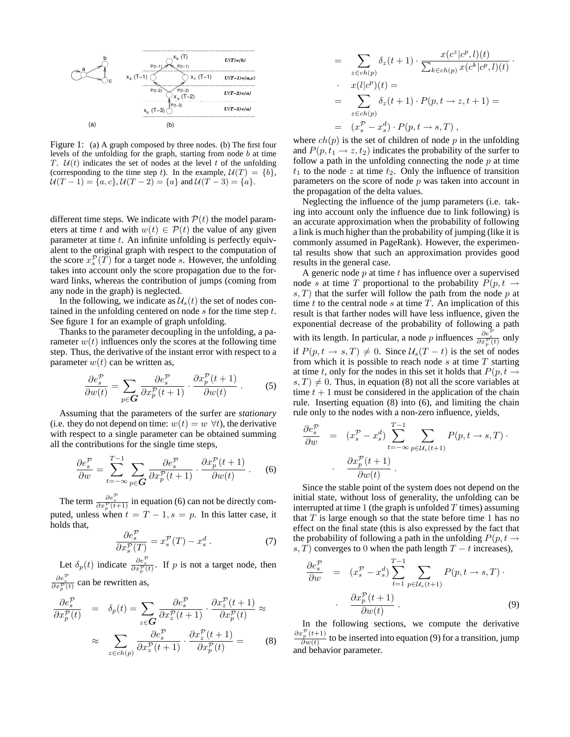

Figure 1: (a) A graph composed by three nodes. (b) The first four levels of the unfolding for the graph, starting from node b at time T.  $U(t)$  indicates the set of nodes at the level t of the unfolding (corresponding to the time step t). In the example,  $U(T) = \{b\}$ ,  $U(T-1) = \{a, c\}, U(T-2) = \{a\}$  and  $U(T-3) = \{a\}.$ 

different time steps. We indicate with  $P(t)$  the model parameters at time t and with  $w(t) \in \mathcal{P}(t)$  the value of any given parameter at time  $t$ . An infinite unfolding is perfectly equivalent to the original graph with respect to the computation of the score  $x_s^{\mathcal{P}}(T)$  for a target node s. However, the unfolding takes into account only the score propagation due to the forward links, whereas the contribution of jumps (coming from any node in the graph) is neglected.

In the following, we indicate as  $\mathcal{U}_s(t)$  the set of nodes contained in the unfolding centered on node  $s$  for the time step  $t$ . See figure 1 for an example of graph unfolding.

Thanks to the parameter decoupling in the unfolding, a parameter  $w(t)$  influences only the scores at the following time step. Thus, the derivative of the instant error with respect to a parameter  $w(t)$  can be written as,

$$
\frac{\partial e_s^{\mathcal{P}}}{\partial w(t)} = \sum_{p \in \mathbf{G}} \frac{\partial e_s^{\mathcal{P}}}{\partial x_p^{\mathcal{P}}(t+1)} \cdot \frac{\partial x_p^{\mathcal{P}}(t+1)}{\partial w(t)} . \tag{5}
$$

Assuming that the parameters of the surfer are *stationary* (i.e. they do not depend on time:  $w(t) = w \ \forall t$ ), the derivative with respect to a single parameter can be obtained summing all the contributions for the single time steps,

$$
\frac{\partial e_s^{\mathcal{P}}}{\partial w} = \sum_{t=-\infty}^{T-1} \sum_{p \in \mathbf{G}} \frac{\partial e_s^{\mathcal{P}}}{\partial x_p^{\mathcal{P}}(t+1)} \cdot \frac{\partial x_p^{\mathcal{P}}(t+1)}{\partial w(t)} \ . \tag{6}
$$

The term  $\frac{\partial e_s^{\mathcal{P}}}{\partial x_p^{\mathcal{P}}(t+1)}$  in equation (6) can not be directly computed, unless when  $t = T - 1$ ,  $s = p$ . In this latter case, it holds that,

$$
\frac{\partial e_s^{\mathcal{P}}}{\partial x_s^{\mathcal{P}}(T)} = x_s^{\mathcal{P}}(T) - x_s^d \,. \tag{7}
$$

Let  $\delta_p(t)$  indicate  $\frac{\partial e_s^{\mathcal{P}}}{\partial x_p^{\mathcal{P}}(t)}$ . If p is not a target node, then

 $\frac{\partial e_s^{\mathcal{P}}}{\partial x_p^{\mathcal{P}}(t)}$  can be rewritten as,

$$
\frac{\partial e_s^{\mathcal{P}}}{\partial x_p^{\mathcal{P}}(t)} = \delta_p(t) = \sum_{z \in \mathbf{G}} \frac{\partial e_s^{\mathcal{P}}}{\partial x_z^{\mathcal{P}}(t+1)} \cdot \frac{\partial x_z^{\mathcal{P}}(t+1)}{\partial x_p^{\mathcal{P}}(t)} \approx
$$

$$
\approx \sum_{z \in ch(p)} \frac{\partial e_s^{\mathcal{P}}}{\partial x_z^{\mathcal{P}}(t+1)} \cdot \frac{\partial x_z^{\mathcal{P}}(t+1)}{\partial x_p^{\mathcal{P}}(t)} = (8)
$$

$$
= \sum_{z \in ch(p)} \delta_z(t+1) \cdot \frac{x(c^z|c^p, l)(t)}{\sum_{k \in ch(p)} x(c^k|c^p, l)(t)}.
$$

$$
x(l|c^p)(t) =
$$

$$
= \sum_{z \in ch(p)} \delta_z(t+1) \cdot P(p, t \to z, t+1) =
$$

$$
(x_s^p - x_s^d) \cdot P(p, t \to s, T),
$$

where  $ch(p)$  is the set of children of node p in the unfolding and  $P(p, t_1 \rightarrow z, t_2)$  indicates the probability of the surfer to follow a path in the unfolding connecting the node  $p$  at time  $t_1$  to the node z at time  $t_2$ . Only the influence of transition parameters on the score of node  $p$  was taken into account in the propagation of the delta values.

Neglecting the influence of the jump parameters (i.e. taking into account only the influence due to link following) is an accurate approximation when the probability of following a link is much higher than the probability of jumping (like it is commonly assumed in PageRank). However, the experimental results show that such an approximation provides good results in the general case.

A generic node  $p$  at time  $t$  has influence over a supervised node s at time T proportional to the probability  $P(p, t \rightarrow$  $s, T$ ) that the surfer will follow the path from the node p at time  $t$  to the central node  $s$  at time  $T$ . An implication of this result is that farther nodes will have less influence, given the exponential decrease of the probability of following a path with its length. In particular, a node p influences  $\frac{\partial e_s^{\mathcal{P}}}{\partial x_p^{\mathcal{P}}(t)}$  only if  $P(p, t \rightarrow s, T) \neq 0$ . Since  $\mathcal{U}_s(T - t)$  is the set of nodes from which it is possible to reach node  $s$  at time  $T$  starting at time t, only for the nodes in this set it holds that  $P(p, t \rightarrow$  $s, T$   $\neq$  0. Thus, in equation (8) not all the score variables at time  $t + 1$  must be considered in the application of the chain rule. Inserting equation (8) into (6), and limiting the chain rule only to the nodes with a non-zero influence, yields,

$$
\frac{\partial e_s^{\mathcal{P}}}{\partial w} = (x_s^{\mathcal{P}} - x_s^d) \sum_{t=-\infty}^{T-1} \sum_{p \in \mathcal{U}_s(t+1)} P(p, t \to s, T) \cdot \frac{\partial x_p^{\mathcal{P}}(t+1)}{\partial w(t)}.
$$

Since the stable point of the system does not depend on the initial state, without loss of generality, the unfolding can be interrupted at time 1 (the graph is unfolded  $T$  times) assuming that  $T$  is large enough so that the state before time 1 has no effect on the final state (this is also expressed by the fact that the probability of following a path in the unfolding  $P(p, t \rightarrow$ s, T) converges to 0 when the path length  $T - t$  increases),

$$
\frac{\partial e_s^{\mathcal{P}}}{\partial w} = (x_s^{\mathcal{P}} - x_s^d) \sum_{t=1}^{T-1} \sum_{p \in \mathcal{U}_s(t+1)} P(p, t \to s, T) \cdot \frac{\partial x_p^{\mathcal{P}}(t+1)}{\partial w(t)}.
$$
\n(9)

In the following sections, we compute the derivative  $\partial x_p^{\mathcal{P}}(t+1)$  $\frac{\partial^2 p}{\partial w(t)}$  to be inserted into equation (9) for a transition, jump and behavior parameter.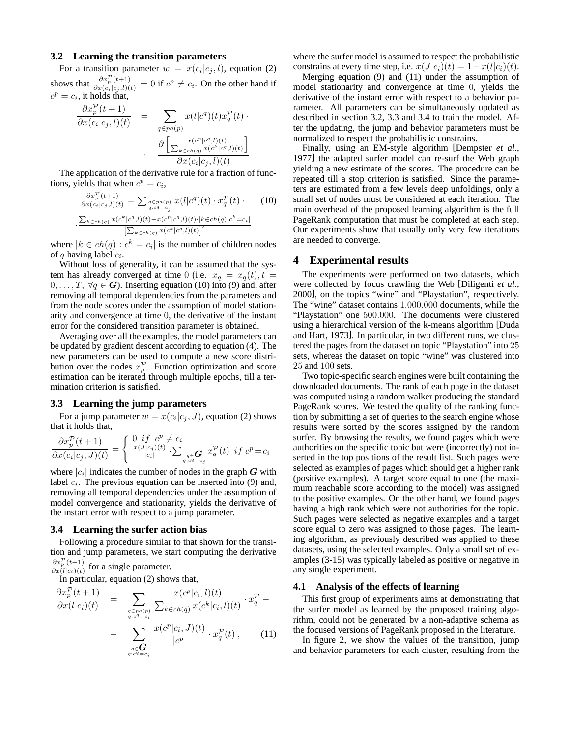#### **3.2 Learning the transition parameters**

For a transition parameter  $w = x(c_i|c_j, l)$ , equation (2) shows that  $\frac{\partial x_p^{\mathcal{P}}(t+1)}{\partial x(c_i|c_j,l)(t)} = 0$  if  $c^p \neq c_i$ . On the other hand if  $c^p = c_i$ , it holds that,

$$
\frac{\partial x_p^{\mathcal{P}}(t+1)}{\partial x(c_i|c_j,l)(t)} = \sum_{q \in pa(p)} x(l|c^q)(t)x_q^{\mathcal{P}}(t) \cdot \frac{\partial \left[\frac{x(c^p|c^q,l)(t)}{\sum_{k \in ch(q)} x(c^k|c^q,l)(t)}\right]}{\partial x(c_i|c_j,l)(t)}
$$

The application of the derivative rule for a fraction of functions, yields that when  $c^p = c_i$ ,

$$
\frac{\partial x_p^{\mathcal{P}}(t+1)}{\partial x(c_i|c_j,l)(t)} = \sum_{\substack{q \in pa(p) \\ q:c^q = c_j}} x(l|c^q)(t) \cdot x_q^{\mathcal{P}}(t) \cdot (10)
$$
\n
$$
\frac{\sum_{k \in ch(q)} x(c^k|c^q,l)(t) - x(c^p|c^q,l)(t) \cdot |k \in ch(q):c^k = c_i|}{\left[\sum_{k \in ch(q)} x(c^k|c^q,l)(t)\right]^2}
$$

where  $|k \in ch(q) : c^k = c_i|$  is the number of children nodes of q having label  $c_i$ .

Without loss of generality, it can be assumed that the system has already converged at time 0 (i.e.  $x_q = x_q(t)$ ,  $t =$  $0, \ldots, T, \forall q \in G$ ). Inserting equation (10) into (9) and, after removing all temporal dependencies from the parameters and from the node scores under the assumption of model stationarity and convergence at time 0, the derivative of the instant error for the considered transition parameter is obtained.

Averaging over all the examples, the model parameters can be updated by gradient descent according to equation (4). The new parameters can be used to compute a new score distribution over the nodes  $x_p^{\mathcal{P}}$ . Function optimization and score estimation can be iterated through multiple epochs, till a termination criterion is satisfied.

#### **3.3 Learning the jump parameters**

For a jump parameter  $w = x(c_i|c_j, J)$ , equation (2) shows that it holds that,

$$
\frac{\partial x_p^{\mathcal{P}}(t+1)}{\partial x(c_i|c_j,J)(t)} = \begin{cases} 0 & \text{if } c^p \neq c_i \\ \frac{x(J|c_j)(t)}{|c_i|} \cdot \sum_{\substack{q \in \mathbf{G} \\ q: c^q = c_j}} x_q^{\mathcal{P}}(t) & \text{if } c^p = c_i \end{cases}
$$

where  $|c_i|$  indicates the number of nodes in the graph G with label  $c_i$ . The previous equation can be inserted into (9) and, removing all temporal dependencies under the assumption of model convergence and stationarity, yields the derivative of the instant error with respect to a jump parameter.

#### **3.4 Learning the surfer action bias**

Following a procedure similar to that shown for the transition and jump parameters, we start computing the derivative  $\partial x_p^{\mathcal{P}}(t+1)$  $\frac{\partial x_p(t+1)}{\partial x(l|c_i)(t)}$  for a single parameter.

In particular, equation (2) shows that,

$$
\frac{\partial x_p^{\mathcal{P}}(t+1)}{\partial x(l|c_i)(t)} = \sum_{\substack{q \in pa(p) \\ q:c^q = c_i}} \frac{x(c^p|c_i, l)(t)}{\sum_{k \in ch(q)} x(c^k|c_i, l)(t)} \cdot x_q^{\mathcal{P}} - \sum_{\substack{q \in \mathbf{G} \\ q:c^q = c_i}} \frac{x(c^p|c_i, J)(t)}{|c^p|} \cdot x_q^{\mathcal{P}}(t), \qquad (11)
$$

where the surfer model is assumed to respect the probabilistic constrains at every time step, i.e.  $x(J|c_i)(t) = 1-x(l|c_i)(t)$ .

Merging equation (9) and (11) under the assumption of model stationarity and convergence at time 0, yields the derivative of the instant error with respect to a behavior parameter. All parameters can be simultaneously updated as described in section 3.2, 3.3 and 3.4 to train the model. After the updating, the jump and behavior parameters must be normalized to respect the probabilistic constrains.

Finally, using an EM-style algorithm [Dempster *et al.*, 1977] the adapted surfer model can re-surf the Web graph yielding a new estimate of the scores. The procedure can be repeated till a stop criterion is satisfied. Since the parameters are estimated from a few levels deep unfoldings, only a small set of nodes must be considered at each iteration. The main overhead of the proposed learning algorithm is the full PageRank computation that must be completed at each step. Our experiments show that usually only very few iterations are needed to converge.

#### **4 Experimental results**

The experiments were performed on two datasets, which were collected by focus crawling the Web [Diligenti *et al.*, 2000], on the topics "wine" and "Playstation", respectively. The "wine" dataset contains 1.000.000 documents, while the "Playstation" one 500.000. The documents were clustered using a hierarchical version of the k-means algorithm [Duda and Hart, 1973]. In particular, in two different runs, we clustered the pages from the dataset on topic "Playstation" into 25 sets, whereas the dataset on topic "wine" was clustered into 25 and 100 sets.

Two topic-specific search engines were built containing the downloaded documents. The rank of each page in the dataset was computed using a random walker producing the standard PageRank scores. We tested the quality of the ranking function by submitting a set of queries to the search engine whose results were sorted by the scores assigned by the random surfer. By browsing the results, we found pages which were authorities on the specific topic but were (incorrectly) not inserted in the top positions of the result list. Such pages were selected as examples of pages which should get a higher rank (positive examples). A target score equal to one (the maximum reachable score according to the model) was assigned to the positive examples. On the other hand, we found pages having a high rank which were not authorities for the topic. Such pages were selected as negative examples and a target score equal to zero was assigned to those pages. The learning algorithm, as previously described was applied to these datasets, using the selected examples. Only a small set of examples (3-15) was typically labeled as positive or negative in any single experiment.

#### **4.1 Analysis of the effects of learning**

This first group of experiments aims at demonstrating that the surfer model as learned by the proposed training algorithm, could not be generated by a non-adaptive schema as the focused versions of PageRank proposed in the literature.

In figure 2, we show the values of the transition, jump and behavior parameters for each cluster, resulting from the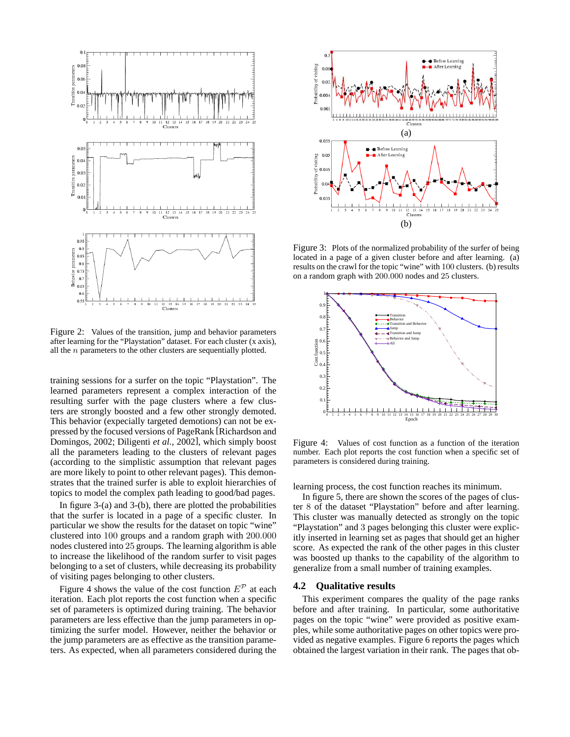

Figure 2: Values of the transition, jump and behavior parameters after learning for the "Playstation" dataset. For each cluster (x axis), all the  $n$  parameters to the other clusters are sequentially plotted.

training sessions for a surfer on the topic "Playstation". The learned parameters represent a complex interaction of the resulting surfer with the page clusters where a few clusters are strongly boosted and a few other strongly demoted. This behavior (expecially targeted demotions) can not be expressed by the focused versions of PageRank [Richardson and Domingos, 2002; Diligenti *et al.*, 2002], which simply boost all the parameters leading to the clusters of relevant pages (according to the simplistic assumption that relevant pages are more likely to point to other relevant pages). This demonstrates that the trained surfer is able to exploit hierarchies of topics to model the complex path leading to good/bad pages.

In figure 3-(a) and 3-(b), there are plotted the probabilities that the surfer is located in a page of a specific cluster. In particular we show the results for the dataset on topic "wine" clustered into 100 groups and a random graph with 200.000 nodes clustered into 25 groups. The learning algorithm is able to increase the likelihood of the random surfer to visit pages belonging to a set of clusters, while decreasing its probability of visiting pages belonging to other clusters.

Figure 4 shows the value of the cost function  $E^{\mathcal{P}}$  at each iteration. Each plot reports the cost function when a specific set of parameters is optimized during training. The behavior parameters are less effective than the jump parameters in optimizing the surfer model. However, neither the behavior or the jump parameters are as effective as the transition parameters. As expected, when all parameters considered during the



Figure 3: Plots of the normalized probability of the surfer of being located in a page of a given cluster before and after learning. (a) results on the crawl for the topic "wine" with 100 clusters. (b) results on a random graph with 200.000 nodes and 25 clusters.



Figure 4: Values of cost function as a function of the iteration number. Each plot reports the cost function when a specific set of parameters is considered during training.

learning process, the cost function reaches its minimum.

In figure 5, there are shown the scores of the pages of cluster 8 of the dataset "Playstation" before and after learning. This cluster was manually detected as strongly on the topic "Playstation" and 3 pages belonging this cluster were explicitly inserted in learning set as pages that should get an higher score. As expected the rank of the other pages in this cluster was boosted up thanks to the capability of the algorithm to generalize from a small number of training examples.

#### **4.2 Qualitative results**

This experiment compares the quality of the page ranks before and after training. In particular, some authoritative pages on the topic "wine" were provided as positive examples, while some authoritative pages on other topics were provided as negative examples. Figure 6 reports the pages which obtained the largest variation in their rank. The pages that ob-